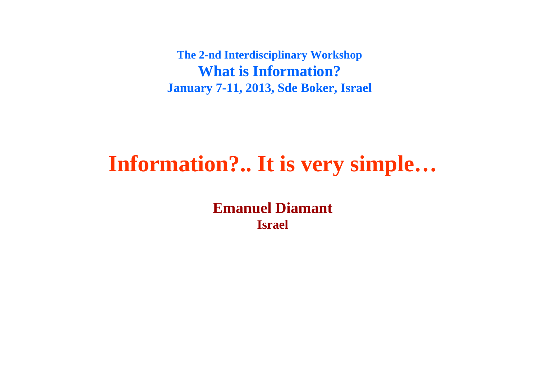**The 2-nd Interdisciplinary Workshop What is Information? January 7-11, 2013, Sde Boker, Israel**

# **Information?.. It is very simple…**

**Emanuel DiamantIsrael**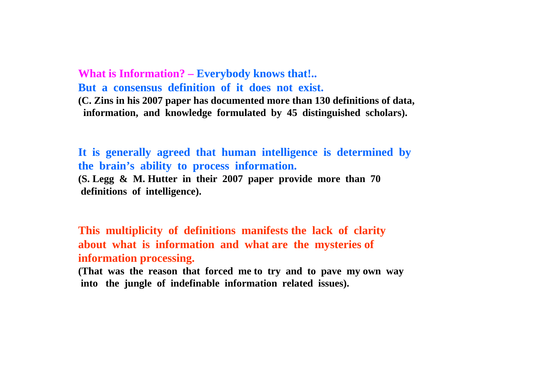**What is Information? – Everybody knows that!.. But a consensus definition of it does not exist.(C. Zins in his 2007 paper has documented more than 130 definitions of data, information, and knowledge formulated by 45 distinguished scholars).**

**It is generally agreed that human intelligence is determined by the brain's ability to process information. (S. Legg & M. Hutter in their 2007 paper provide more than 70 definitions of intelligence).**

**This multiplicity of definitions manifests the lack of clarity about what is information and what are the mysteries of information processing.** 

**(That was the reason that forced me to try and to pave my own way into the jungle of indefinable information related issues).**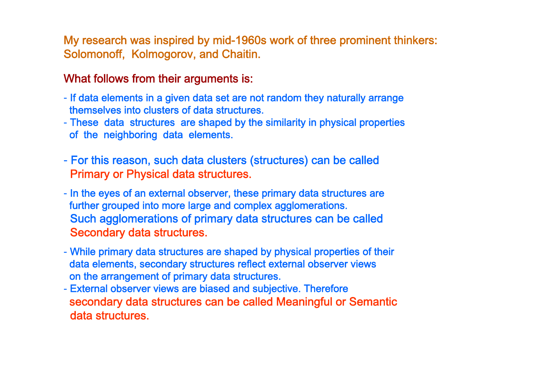My research was inspired by mid-1960s work of three prominent thinkers: Solomonoff, Kolmogorov, and Chaitin.

#### What follows from their arguments is:

- If data elements in a given data set are not random they naturally arrange themselves into clusters of data structures.
- These data structures are shaped by the similarity in physical properties of the neighboring data elements.
- For this reason, such data clusters (structures) can be called Primary or Physical data structures.
- In the eyes of an external observer, these primary data structures are further grouped into more large and complex agglomerations. Such agglomerations of primary data structures can be called Secondary data structures.
- While primary data structures are shaped by physical properties of their data elements, secondary structures reflect external observer views on the arrangement of primary data structures.
- External observer views are biased and subjective. Therefore secondary data structures can be called Meaningful or Semantic data structures.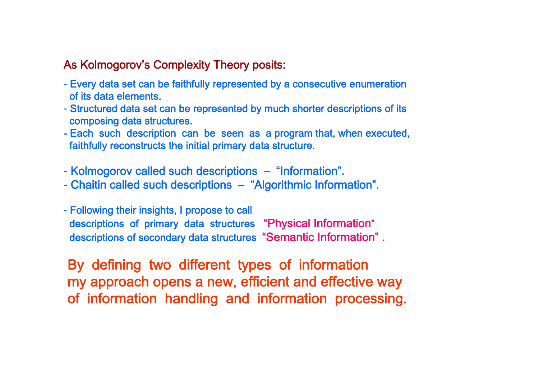#### As Kolmogorov's Complexity Theory posits:

- Every data set can be faithfully represented by a consecutive enumeration of its data elements.
- Structured data set can be represented by much shorter descriptions of its composing data structures.
- Each such description can be seen as a program that, when executed, faithfully reconstructs the initial primary data structure.
- Kolmogorov called such descriptions "Information".
- Chaitin called such descriptions "Algorithmic Information".
- Following their insights, I propose to call descriptions of primary data structures "Physical Information" descriptions of secondary data structures "Semantic Information" .

By defining two different types of information my approach opens a new, efficient and effective way of information handling and information processing.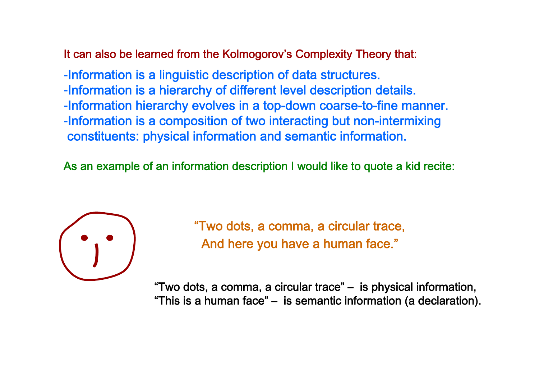It can also be learned from the Kolmogorov's Complexity Theory that:

-Information is a linguistic description of data structures. -Information is a hierarchy of different level description details. -Information hierarchy evolves in a top-down coarse-to-fine manner. -Information is a composition of two interacting but non-intermixing constituents: physical information and semantic information.

As an example of an information description I would like to quote a kid recite:



"Two dots, a comma, a circular trace, And here you have a human face."

"Two dots, a comma, a circular trace" – is physical information, "This is a human face" – is semantic information (a declaration).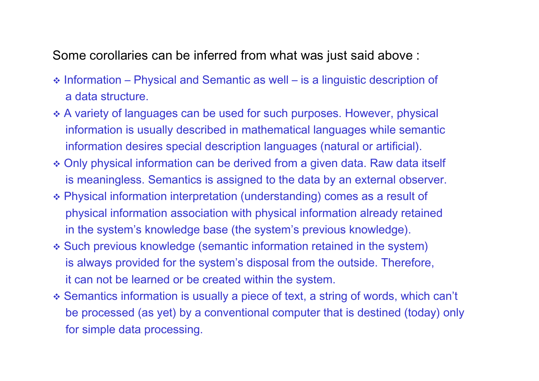Some corollaries can be inferred from what was just said above :

- ◆ Information Physical and Semantic as well is a linguistic description of a data structure.
- \* A variety of languages can be used for such purposes. However, physical information is usually described in mathematical languages while semantic information desires special description languages (natural or artificial).
- Only physical information can be derived from a given data. Raw data itself is meaningless. Semantics is assigned to the data by an external observer.
- Physical information interpretation (understanding) comes as a result of physical information association with physical information already retained in the system's knowledge base (the system's previous knowledge).
- Such previous knowledge (semantic information retained in the system) is always provided for the system's disposal from the outside. Therefore, it can not be learned or be created within the system.
- Semantics information is usually a piece of text, a string of words, which can't be processed (as yet) by a conventional computer that is destined (today) only for simple data processing.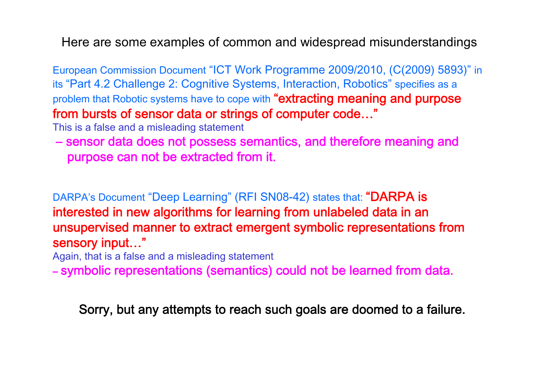Here are some examples of common and widespread misunderstandings

European Commission Document "ICT Work Programme 2009/2010, (C(2009) 5893)" in its "Part 4.2 Challenge 2: Cognitive Systems, Interaction, Robotics " specifies as a problem that Robotic systems have to cope with "extracting meaning and purpose from bursts of sensor data or strings of computer code…"

This is a false and a misleading statement

– sensor data does not possess semantics, and therefore meaning and purpose can not be extracted from it.

DARPA's Document "Deep Learning" (RFI SN08-42) states that: **"DARPA is** interested in new algorithms for learning from unlabeled data in an unsupervised manner to extract emergent symbolic representations from sensory input…"

Again, that is a false and a misleading statement

– symbolic representations (semantics) could not be learned from data.

Sorry, but any attempts to reach such goals are doomed to a failure.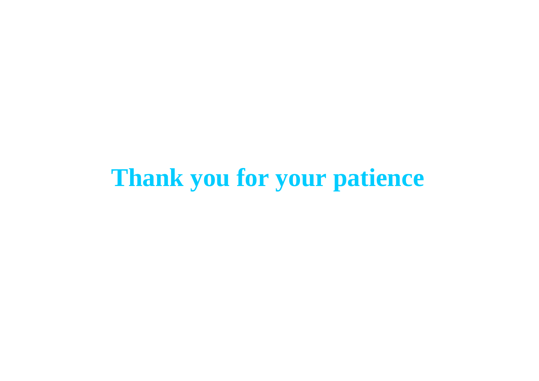# **Thank you for your patience**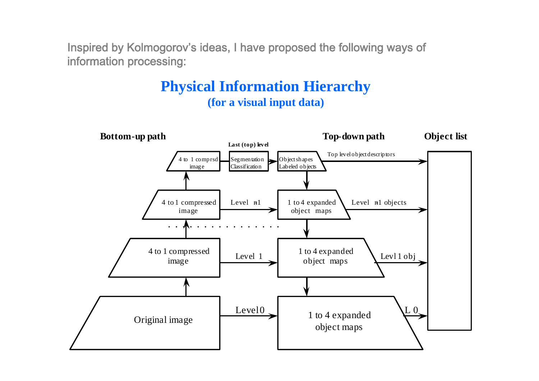Inspired by Kolmogorov's ideas, I have proposed the following ways of information processing:

### **Physical Information Hierarchy (for a visual input data)**

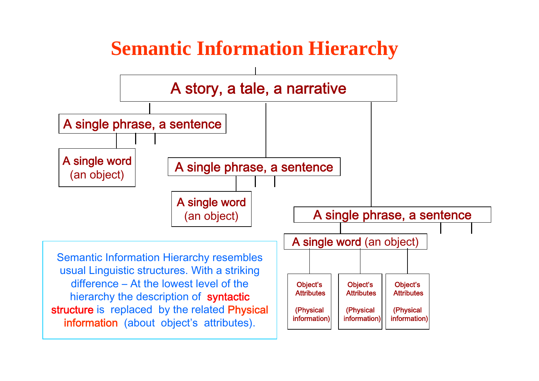# **Semantic Information Hierarchy**

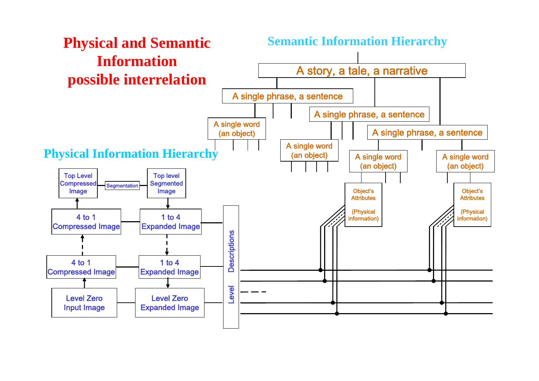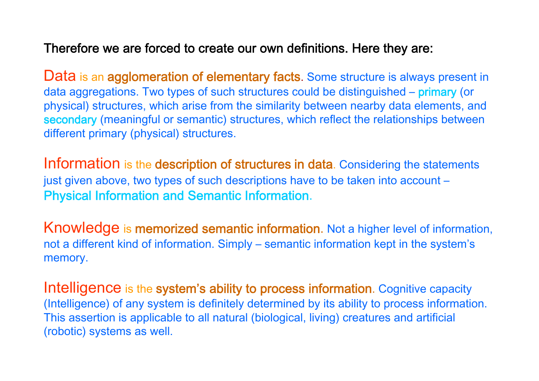### Therefore we are forced to create our own definitions. Here they are:

Data is an agglomeration of elementary facts. Some structure is always present in data aggregations. Two types of such structures could be distinguished – primary (or physical) structures, which arise from the similarity between nearby data elements, and secondary (meaningful or semantic) structures, which reflect the relationships between different primary (physical) structures.

Information is the description of structures in data. Considering the statements just given above, two types of such descriptions have to be taken into account – Physical Information and Semantic Information.

Knowledge is memorized semantic information. Not a higher level of information, not a different kind of information. Simply – semantic information kept in the system's memory.

Intelligence is the system's ability to process information. Cognitive capacity (Intelligence) of any system is definitely determined by its ability to process information. This assertion is applicable to all natural (biological, living) creatures and artificial (robotic) systems as well.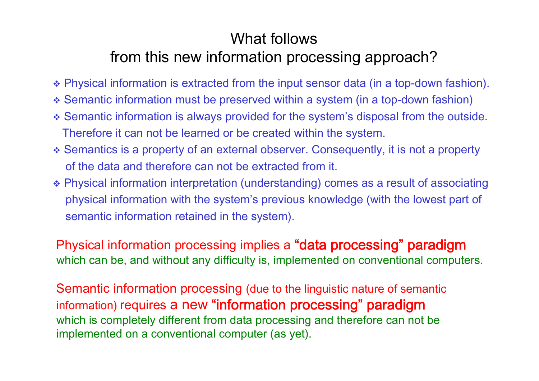### What followsfrom this new information processing approach?

- Physical information is extracted from the input sensor data (in a top-down fashion).
- Semantic information must be preserved within a system (in a top-down fashion)
- Semantic information is always provided for the system's disposal from the outside. Therefore it can not be learned or be created within the system.
- Semantics is a property of an external observer. Consequently, it is not a property of the data and therefore can not be extracted from it.
- Physical information interpretation (understanding) comes as a result of associating physical information with the system's previous knowledge (with the lowest part of semantic information retained in the system).

Physical information processing implies a **"data processing" paradigm** which can be, and without any difficulty is, implemented on conventional computers.

Semantic information processing (due to the linguistic nature of semantic information) requires a new "information processing" paradigm which is completely different from data processing and therefore can not be implemented on a conventional computer (as yet).